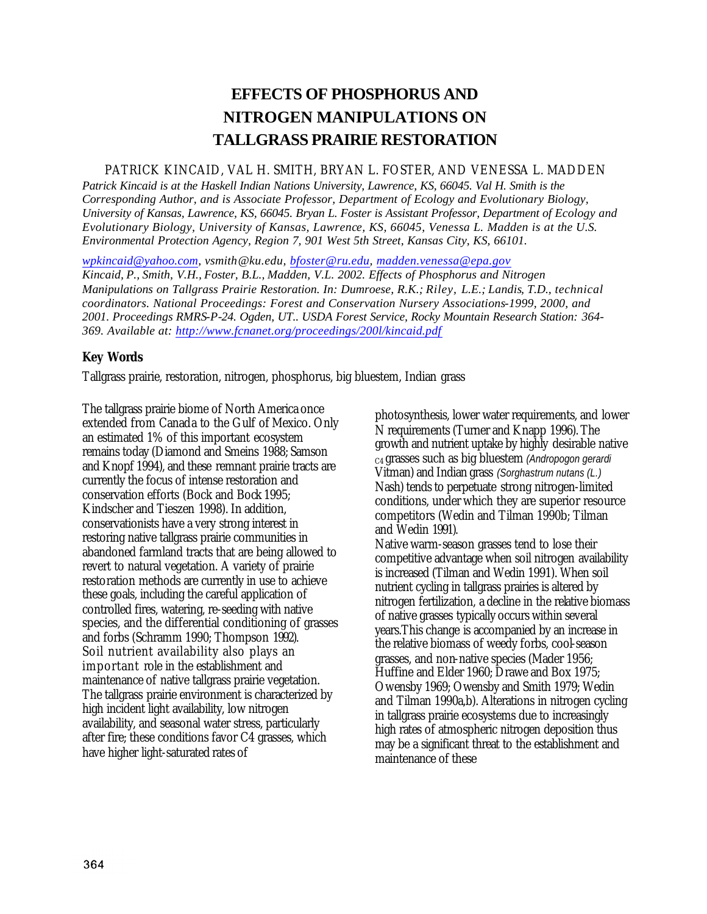# **EFFECTS OF PHOSPHORUS AND NITROGEN MANIPULATIONS ON TALLGRASS PRAIRIE RESTORATION**

### PATRICK KINCAID, VAL H. SMITH, BRYAN L. FOSTER, AND VENESSA L. MADDEN

*Patrick Kincaid is at the Haskell Indian Nations University, Lawrence, KS, 66045. Val H. Smith is the Corresponding Author, and is Associate Professor, Department of Ecology and Evolutionary Biology, University of Kansas, Lawrence, KS, 66045. Bryan L. Foster is Assistant Professor, Department of Ecology and Evolutionary Biology, University of Kansas, Lawrence, KS, 66045, Venessa L. Madden is at the U.S. Environmental Protection Agency, Region 7, 901 West 5th Street, Kansas City, KS, 66101.*

*wpkincaid@yahoo.com, vsmith@ku.edu, bfoster@ru.edu, madden.venessa@epa.gov Kincaid, P., Smith, V.H., Foster, B.L., Madden, V.L. 2002. Effects of Phosphorus and Nitrogen Manipulations on Tallgrass Prairie Restoration. In: Dumroese, R.K.; Riley, L.E.; Landis, T.D., technical coordinators. National Proceedings: Forest and Conservation Nursery Associations-1999, 2000, and 2001. Proceedings RMRS-P-24. Ogden, UT.. USDA Forest Service, Rocky Mountain Research Station: 364- 369. Available at: http://www.fcnanet.org/proceedings/200l/kincaid.pdf*

## **Key Words**

Tallgrass prairie, restoration, nitrogen, phosphorus, big bluestem, Indian grass

The tallgrass prairie biome of North America once extended from Canada to the Gulf of Mexico. Only an estimated 1% of this important ecosystem remains today (Diamond and Smeins 1988; Samson and Knopf 1994), and these remnant prairie tracts are currently the focus of intense restoration and conservation efforts (Bock and Bock 1995; Kindscher and Tieszen 1998). In addition, conservationists have a very strong interest in restoring native tallgrass prairie communities in abandoned farmland tracts that are being allowed to revert to natural vegetation. A variety of prairie restoration methods are currently in use to achieve these goals, including the careful application of controlled fires, watering, re-seeding with native species, and the differential conditioning of grasses and forbs (Schramm 1990; Thompson 1992). Soil nutrient availability also plays an important role in the establishment and maintenance of native tallgrass prairie vegetation. The tallgrass prairie environment is characterized by high incident light availability, low nitrogen availability, and seasonal water stress, particularly after fire; these conditions favor C4 grasses, which have higher light-saturated rates of

photosynthesis, lower water requirements, and lower N requirements (Turner and Knapp 1996). The growth and nutrient uptake by highly desirable native C4 grasses such as big bluestem *(Andropogon gerardi*  Vitman) and Indian grass *(Sorghastrum nutans (L.)*  Nash) tends to perpetuate strong nitrogen-limited conditions, under which they are superior resource competitors (Wedin and Tilman 1990b; Tilman and Wedin 1991).

Native warm-season grasses tend to lose their competitive advantage when soil nitrogen availability is increased (Tilman and Wedin 1991). When soil nutrient cycling in tallgrass prairies is altered by nitrogen fertilization, a decline in the relative biomass of native grasses typically occurs within several years.This change is accompanied by an increase in the relative biomass of weedy forbs, cool-season grasses, and non-native species (Mader 1956; Huffine and Elder 1960; Drawe and Box 1975; Owensby 1969; Owensby and Smith 1979; Wedin and Tilman 1990a,b). Alterations in nitrogen cycling in tallgrass prairie ecosystems due to increasingly high rates of atmospheric nitrogen deposition thus may be a significant threat to the establishment and maintenance of these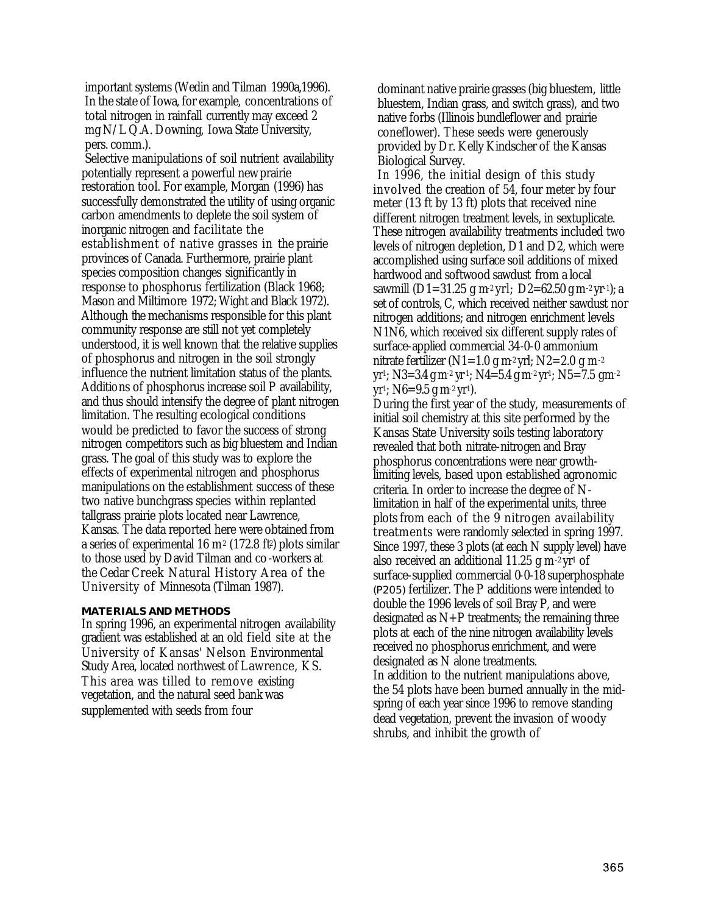important systems (Wedin and Tilman 1990a,1996). In the state of Iowa, for example, concentrations of total nitrogen in rainfall currently may exceed 2 mg N/L Q.A. Downing, Iowa State University, pers. comm.).

Selective manipulations of soil nutrient availability potentially represent a powerful new prairie restoration tool. For example, Morgan (1996) has successfully demonstrated the utility of using organic carbon amendments to deplete the soil system of inorganic nitrogen and facilitate the establishment of native grasses in the prairie provinces of Canada. Furthermore, prairie plant species composition changes significantly in response to phosphorus fertilization (Black 1968; Mason and Miltimore 1972; Wight and Black 1972). Although the mechanisms responsible for this plant community response are still not yet completely understood, it is well known that the relative supplies of phosphorus and nitrogen in the soil strongly influence the nutrient limitation status of the plants. Additions of phosphorus increase soil P availability, and thus should intensify the degree of plant nitrogen limitation. The resulting ecological conditions would be predicted to favor the success of strong nitrogen competitors such as big bluestem and Indian grass. The goal of this study was to explore the effects of experimental nitrogen and phosphorus manipulations on the establishment success of these two native bunchgrass species within replanted tallgrass prairie plots located near Lawrence, Kansas. The data reported here were obtained from a series of experimental 16 m<sup>2</sup> (172.8 ft<sup>2</sup>) plots similar to those used by David Tilman and co-workers at the Cedar Creek Natural History Area of the University of Minnesota (Tilman 1987).

#### **MATERIALS AND METHODS**

In spring 1996, an experimental nitrogen availability gradient was established at an old field site at the University of Kansas' Nelson Environmental Study Area, located northwest of Lawrence, KS. This area was tilled to remove existing vegetation, and the natural seed bank was supplemented with seeds from four

dominant native prairie grasses (big bluestem, little bluestem, Indian grass, and switch grass), and two native forbs (Illinois bundleflower and prairie coneflower). These seeds were generously provided by Dr. Kelly Kindscher of the Kansas Biological Survey.

In 1996, the initial design of this study involved the creation of 54, four meter by four meter (13 ft by 13 ft) plots that received nine different nitrogen treatment levels, in sextuplicate. These nitrogen availability treatments included two levels of nitrogen depletion, D1 and D2, which were accomplished using surface soil additions of mixed hardwood and softwood sawdust from a local sawmill (D1=31.25 g m<sup>2</sup> yrl; D2=62.50 g m<sup>-2</sup> yr<sup>-1</sup>); a set of controls, C, which received neither sawdust nor nitrogen additions; and nitrogen enrichment levels N1N6, which received six different supply rates of surface-applied commercial 34-0-0 ammonium nitrate fertilizer (N1=1.0 g m<sup>2</sup> yrl; N2=2.0 g m<sup>-2</sup> yr<sup>1</sup>; N3=3.4 g m<sup>-2</sup> yr<sup>1</sup>; N4=5.4 g m<sup>-2</sup> yr<sup>1</sup>; N5=7.5 gm<sup>-2</sup>  $yr$ <sup>1</sup>; N6=9.5 g m<sup>-2</sup> yr<sup>1</sup>).

During the first year of the study, measurements of initial soil chemistry at this site performed by the Kansas State University soils testing laboratory revealed that both nitrate-nitrogen and Bray phosphorus concentrations were near growthlimiting levels, based upon established agronomic criteria. In order to increase the degree of Nlimitation in half of the experimental units, three plots from each of the 9 nitrogen availability treatments were randomly selected in spring 1997. Since 1997, these 3 plots (at each N supply level) have also received an additional 11.25 g m-2 yr<sup>1</sup> of surface-supplied commercial 0-0-18 superphosphate (P205) fertilizer. The P additions were intended to double the 1996 levels of soil Bray P, and were designated as  $N+P$  treatments; the remaining three plots at each of the nine nitrogen availability levels received no phosphorus enrichment, and were designated as N alone treatments. In addition to the nutrient manipulations above, the 54 plots have been burned annually in the midspring of each year since 1996 to remove standing dead vegetation, prevent the invasion of woody shrubs, and inhibit the growth of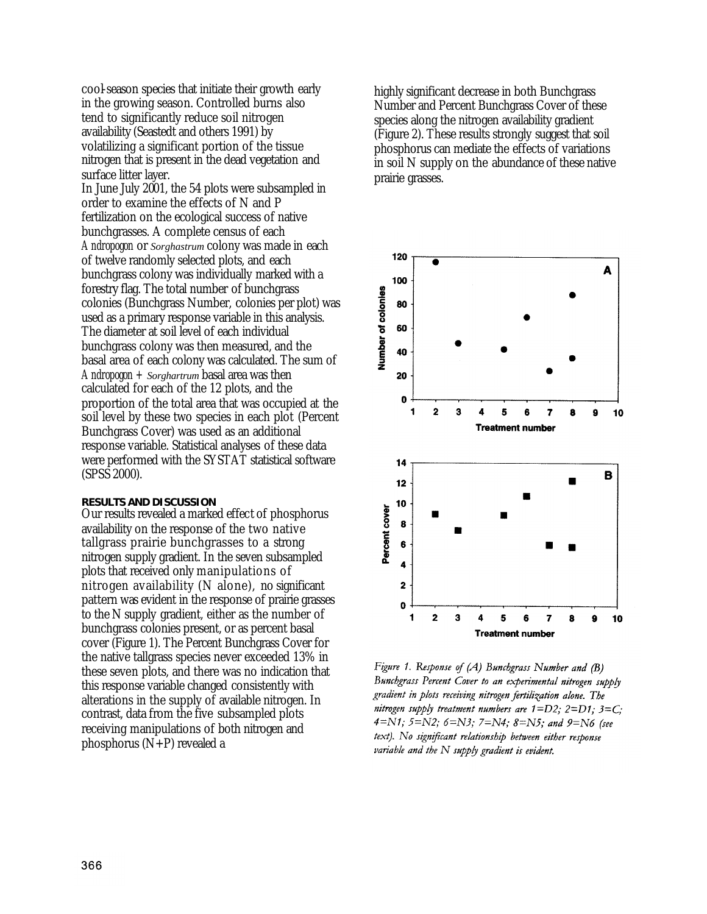cool-season species that initiate their growth early in the growing season. Controlled burns also tend to significantly reduce soil nitrogen availability (Seastedt and others 1991) by volatilizing a significant portion of the tissue nitrogen that is present in the dead vegetation and surface litter layer.

In June July 2001, the 54 plots were subsampled in order to examine the effects of N and P fertilization on the ecological success of native bunchgrasses. A complete census of each *Andropogon* or *Sorghastrum* colony was made in each of twelve randomly selected plots, and each bunchgrass colony was individually marked with a forestry flag. The total number of bunchgrass colonies (Bunchgrass Number, colonies per plot) was used as a primary response variable in this analysis. The diameter at soil level of each individual bunchgrass colony was then measured, and the basal area of each colony was calculated. The sum of *Andropogon + Sorghartrum* basal area was then calculated for each of the 12 plots, and the proportion of the total area that was occupied at the soil level by these two species in each plot (Percent Bunchgrass Cover) was used as an additional response variable. Statistical analyses of these data were performed with the SYSTAT statistical software (SPSS 2000).

#### **RESULTS AND DISCUSSION**

Our results revealed a marked effect of phosphorus availability on the response of the two native tallgrass prairie bunchgrasses to a strong nitrogen supply gradient. In the seven subsampled plots that received only manipulations of nitrogen availability (N alone), no significant pattern was evident in the response of prairie grasses to the N supply gradient, either as the number of bunchgrass colonies present, or as percent basal cover (Figure 1). The Percent Bunchgrass Cover for the native tallgrass species never exceeded 13% in these seven plots, and there was no indication that this response variable changed consistently with alterations in the supply of available nitrogen. In contrast, data from the five subsampled plots receiving manipulations of both nitrogen and phosphorus (N+P) revealed a

highly significant decrease in both Bunchgrass Number and Percent Bunchgrass Cover of these species along the nitrogen availability gradient (Figure 2). These results strongly suggest that soil phosphorus can mediate the effects of variations in soil N supply on the abundance of these native prairie grasses.



Figure 1. Response of (A) Bunchgrass Number and (B) Bunchgrass Percent Cover to an experimental nitrogen supply gradient in plots receiving nitrogen fertilization alone. The nitrogen supply treatment numbers are  $1=D2$ ;  $2=D1$ ;  $3=C$ ;  $4=N1; 5=N2; 6=N3; 7=N4; 8=N5;$  and  $9=N6$  (see text). No significant relationship between either response variable and the  $N$  supply gradient is evident.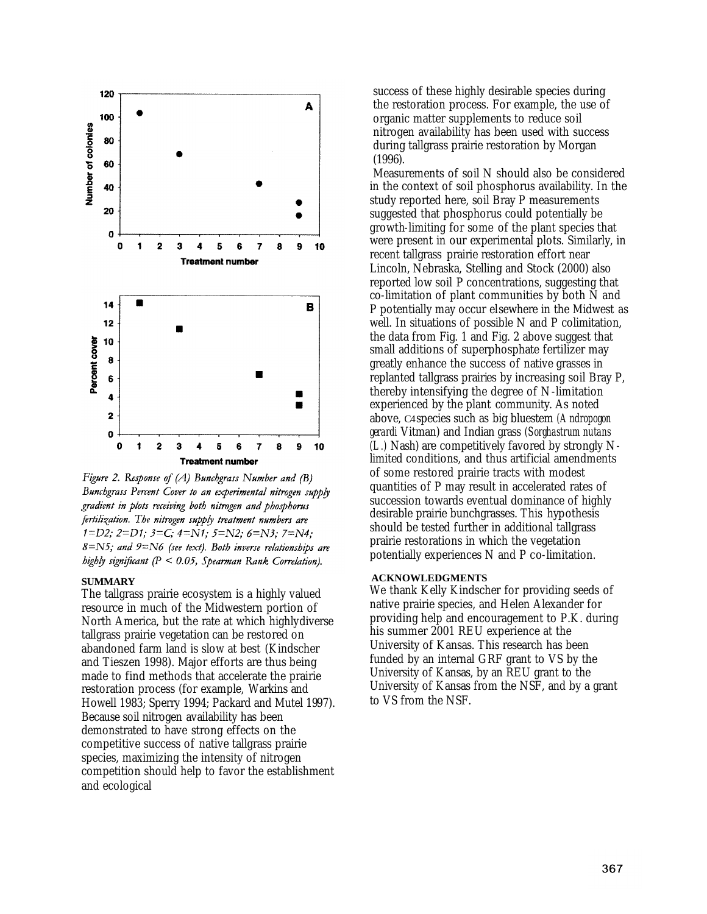

Figure 2. Response of  $(A)$  Bunchgrass Number and  $(B)$ Bunchgrass Percent Cover to an experimental nitrogen supply gradient in plots receiving both nitrogen and phosphorus fertilization. The nitrogen supply treatment numbers are  $1=D2$ ;  $2=D1$ ;  $3=C$ ;  $4=N1$ ;  $5=N2$ ;  $6=N3$ ;  $7=N4$ ;  $8 = N5$ ; and  $9 = N6$  (see text). Both inverse relationships are highly significant  $(P < 0.05$ , Spearman Rank Correlation).

#### **SUMMARY**

The tallgrass prairie ecosystem is a highly valued resource in much of the Midwestern portion of North America, but the rate at which highlydiverse tallgrass prairie vegetation can be restored on abandoned farm land is slow at best (Kindscher and Tieszen 1998). Major efforts are thus being made to find methods that accelerate the prairie restoration process (for example, Warkins and Howell 1983; Sperry 1994; Packard and Mutel 1997). Because soil nitrogen availability has been demonstrated to have strong effects on the competitive success of native tallgrass prairie species, maximizing the intensity of nitrogen competition should help to favor the establishment and ecological

success of these highly desirable species during the restoration process. For example, the use of organic matter supplements to reduce soil nitrogen availability has been used with success during tallgrass prairie restoration by Morgan (1996).

Measurements of soil N should also be considered in the context of soil phosphorus availability. In the study reported here, soil Bray P measurements suggested that phosphorus could potentially be growth-limiting for some of the plant species that were present in our experimental plots. Similarly, in recent tallgrass prairie restoration effort near Lincoln, Nebraska, Stelling and Stock (2000) also reported low soil P concentrations, suggesting that co-limitation of plant communities by both N and P potentially may occur elsewhere in the Midwest as well. In situations of possible N and P colimitation, the data from Fig. 1 and Fig. 2 above suggest that small additions of superphosphate fertilizer may greatly enhance the success of native grasses in replanted tallgrass prairies by increasing soil Bray P, thereby intensifying the degree of N-limitation experienced by the plant community. As noted above, C4 species such as big bluestem *(Andropogon gerardi* Vitman) and Indian grass *(Sorghastrum nutans (L.)* Nash) are competitively favored by strongly Nlimited conditions, and thus artificial amendments of some restored prairie tracts with modest quantities of P may result in accelerated rates of succession towards eventual dominance of highly desirable prairie bunchgrasses. This hypothesis should be tested further in additional tallgrass prairie restorations in which the vegetation potentially experiences N and P co-limitation.

#### **ACKNOWLEDGMENTS**

We thank Kelly Kindscher for providing seeds of native prairie species, and Helen Alexander for providing help and encouragement to P.K. during his summer 2001 REU experience at the University of Kansas. This research has been funded by an internal GRF grant to VS by the University of Kansas, by an REU grant to the University of Kansas from the NSF, and by a grant to VS from the NSF.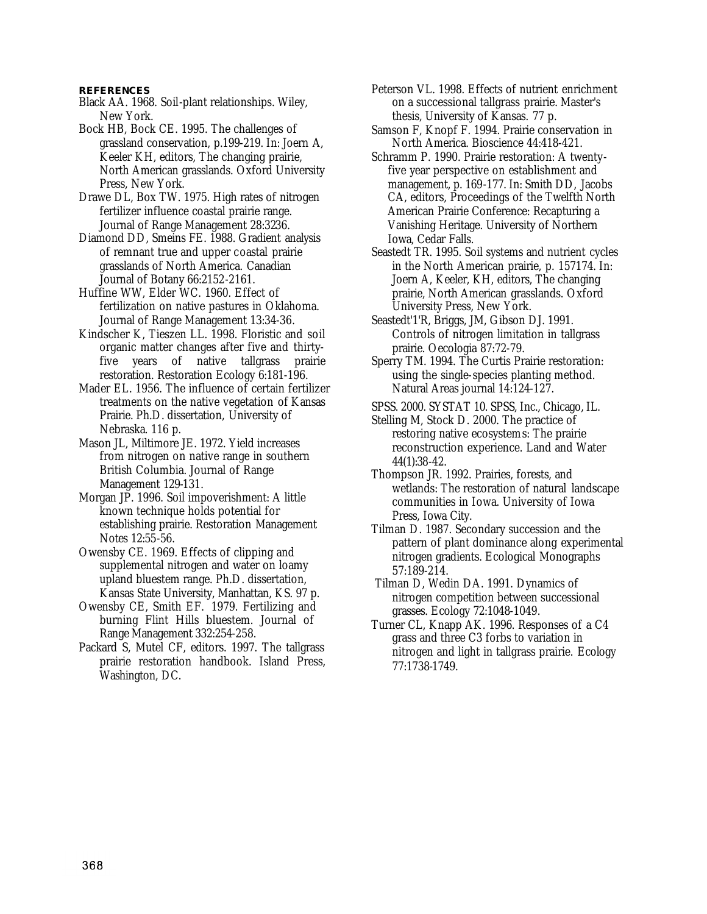#### **REFERENCES**

- Black AA. 1968. Soil-plant relationships. Wiley, New York.
- Bock HB, Bock CE. 1995. The challenges of grassland conservation, p.199-219. In: Joern A, Keeler KH, editors, The changing prairie, North American grasslands. Oxford University Press, New York.
- Drawe DL, Box TW. 1975. High rates of nitrogen fertilizer influence coastal prairie range. Journal of Range Management 28:3236.
- Diamond DD, Smeins FE. 1988. Gradient analysis of remnant true and upper coastal prairie grasslands of North America. Canadian Journal of Botany 66:2152-2161.
- Huffine WW, Elder WC. 1960. Effect of fertilization on native pastures in Oklahoma. Journal of Range Management 13:34-36.
- Kindscher K, Tieszen LL. 1998. Floristic and soil organic matter changes after five and thirtyfive years of native tallgrass prairie restoration. Restoration Ecology 6:181-196.
- Mader EL. 1956. The influence of certain fertilizer treatments on the native vegetation of Kansas Prairie. Ph.D. dissertation, University of Nebraska. 116 p.
- Mason JL, Miltimore JE. 1972. Yield increases from nitrogen on native range in southern British Columbia. Journal of Range Management 129-131.
- Morgan JP. 1996. Soil impoverishment: A little known technique holds potential for establishing prairie. Restoration Management Notes 12:55-56.
- Owensby CE. 1969. Effects of clipping and supplemental nitrogen and water on loamy upland bluestem range. Ph.D. dissertation, Kansas State University, Manhattan, KS. 97 p.
- Owensby CE, Smith EF. 1979. Fertilizing and burning Flint Hills bluestem. Journal of Range Management 332:254-258.
- Packard S, Mutel CF, editors. 1997. The tallgrass prairie restoration handbook. Island Press, Washington, DC.
- Peterson VL. 1998. Effects of nutrient enrichment on a successional tallgrass prairie. Master's thesis, University of Kansas. 77 p.
- Samson F, Knopf F. 1994. Prairie conservation in North America. Bioscience 44:418-421.
- Schramm P. 1990. Prairie restoration: A twentyfive year perspective on establishment and management, p. 169-177. In: Smith DD, Jacobs CA, editors, Proceedings of the Twelfth North American Prairie Conference: Recapturing a Vanishing Heritage. University of Northern Iowa, Cedar Falls.
- Seastedt TR. 1995. Soil systems and nutrient cycles in the North American prairie, p. 157174. In: Joern A, Keeler, KH, editors, The changing prairie, North American grasslands. Oxford University Press, New York.
- Seastedt'1'R, Briggs, JM, Gibson DJ. 1991. Controls of nitrogen limitation in tallgrass prairie. Oecologia 87:72-79.
- Sperry TM. 1994. The Curtis Prairie restoration: using the single-species planting method. Natural Areas journal 14:124-127.
- SPSS. 2000. SYSTAT 10. SPSS, Inc., Chicago, IL.
- Stelling M, Stock D. 2000. The practice of restoring native ecosystems: The prairie reconstruction experience. Land and Water 44(1):38-42.
- Thompson JR. 1992. Prairies, forests, and wetlands: The restoration of natural landscape communities in Iowa. University of Iowa Press, Iowa City.
- Tilman D. 1987. Secondary succession and the pattern of plant dominance along experimental nitrogen gradients. Ecological Monographs 57:189-214.
- Tilman D, Wedin DA. 1991. Dynamics of nitrogen competition between successional grasses. Ecology 72:1048-1049.
- Turner CL, Knapp AK. 1996. Responses of a C4 grass and three C3 forbs to variation in nitrogen and light in tallgrass prairie. Ecology 77:1738-1749.